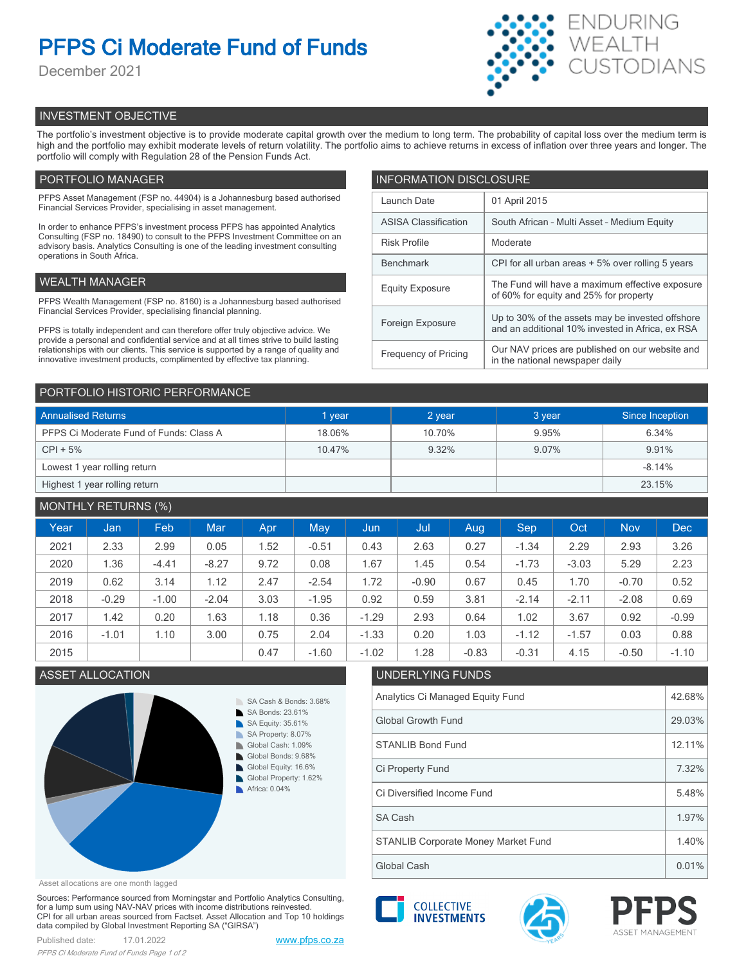# **PFPS Ci Moderate Fund of Funds**

December 2021



# INVESTMENT OBJECTIVE

The portfolio's investment objective is to provide moderate capital growth over the medium to long term. The probability of capital loss over the medium term is high and the portfolio may exhibit moderate levels of return volatility. The portfolio aims to achieve returns in excess of inflation over three years and longer. The portfolio will comply with Regulation 28 of the Pension Funds Act.

# PORTFOLIO MANAGER

PFPS Asset Management (FSP no. 44904) is a Johannesburg based authorised Financial Services Provider, specialising in asset management.

In order to enhance PFPS's investment process PFPS has appointed Analytics Consulting (FSP no. 18490) to consult to the PFPS Investment Committee on an advisory basis. Analytics Consulting is one of the leading investment consulting operations in South Africa.

## WEALTH MANAGER

PFPS Wealth Management (FSP no. 8160) is a Johannesburg based authorised Financial Services Provider, specialising financial planning.

PFPS is totally independent and can therefore offer truly objective advice. We provide a personal and confidential service and at all times strive to build lasting relationships with our clients. This service is supported by a range of quality and innovative investment products, complimented by effective tax planning.

| <b>INFORMATION DISCLOSURE</b> |                                                                                                      |  |  |  |  |
|-------------------------------|------------------------------------------------------------------------------------------------------|--|--|--|--|
| Launch Date                   | 01 April 2015                                                                                        |  |  |  |  |
| <b>ASISA Classification</b>   | South African - Multi Asset - Medium Equity                                                          |  |  |  |  |
| <b>Risk Profile</b>           | Moderate                                                                                             |  |  |  |  |
| <b>Benchmark</b>              | CPI for all urban areas + 5% over rolling 5 years                                                    |  |  |  |  |
| <b>Equity Exposure</b>        | The Fund will have a maximum effective exposure<br>of 60% for equity and 25% for property            |  |  |  |  |
| Foreign Exposure              | Up to 30% of the assets may be invested offshore<br>and an additional 10% invested in Africa, ex RSA |  |  |  |  |
| <b>Frequency of Pricing</b>   | Our NAV prices are published on our website and<br>in the national newspaper daily                   |  |  |  |  |

## PORTFOLIO HISTORIC PERFORMANCE

| <b>Annualised Returns</b>               | 1 year | 2 year | 3 year | Since Inception |
|-----------------------------------------|--------|--------|--------|-----------------|
| PFPS Ci Moderate Fund of Funds: Class A | 18.06% | 10.70% | 9.95%  | 6.34%           |
| $CPI + 5%$                              | 10.47% | 9.32%  | 9.07%  | 9.91%           |
| Lowest 1 year rolling return            |        |        |        | $-8.14%$        |
| Highest 1 year rolling return           |        |        |        | 23.15%          |

# MONTHLY RETURNS (%)

| Year | Jan     | Feb     | <b>Mar</b> | Apr. | <b>May</b> | Jun     | Jul     | Aug     | Sep     | Oct     | <b>Nov</b> | <b>Dec</b> |
|------|---------|---------|------------|------|------------|---------|---------|---------|---------|---------|------------|------------|
| 2021 | 2.33    | 2.99    | 0.05       | 1.52 | $-0.51$    | 0.43    | 2.63    | 0.27    | $-1.34$ | 2.29    | 2.93       | 3.26       |
| 2020 | 1.36    | $-4.41$ | $-8.27$    | 9.72 | 0.08       | 1.67    | 1.45    | 0.54    | $-1.73$ | $-3.03$ | 5.29       | 2.23       |
| 2019 | 0.62    | 3.14    | 1.12       | 2.47 | $-2.54$    | 1.72    | $-0.90$ | 0.67    | 0.45    | 1.70    | $-0.70$    | 0.52       |
| 2018 | $-0.29$ | $-1.00$ | $-2.04$    | 3.03 | $-1.95$    | 0.92    | 0.59    | 3.81    | $-2.14$ | $-2.11$ | $-2.08$    | 0.69       |
| 2017 | 1.42    | 0.20    | 1.63       | 1.18 | 0.36       | $-1.29$ | 2.93    | 0.64    | 1.02    | 3.67    | 0.92       | $-0.99$    |
| 2016 | $-1.01$ | 1.10    | 3.00       | 0.75 | 2.04       | $-1.33$ | 0.20    | 1.03    | $-1.12$ | $-1.57$ | 0.03       | 0.88       |
| 2015 |         |         |            | 0.47 | $-1.60$    | $-1.02$ | 1.28    | $-0.83$ | $-0.31$ | 4.15    | $-0.50$    | $-1.10$    |

# ASSET ALLOCATION UNDERLYING FUNDS



# Analytics Ci Managed Equity Fund 42.68% Global Growth Fund 29.03% STANLIB Bond Fund 2001 12.11% Ci Diversified Income Fund 5.48% Ci Property Fund 2.32%

Global Cash 0.01% STANLIB Corporate Money Market Fund 1.40% SA Cash 1.97%

Asset allocations are one month lagged

Sources: Performance sourced from Morningstar and Portfolio Analytics Consulting, for a lump sum using NAV-NAV prices with income distributions reinvested. CPI for all urban areas sourced from Factset. Asset Allocation and Top 10 holdings data compiled by Global Investment Reporting SA ("GIRSA")